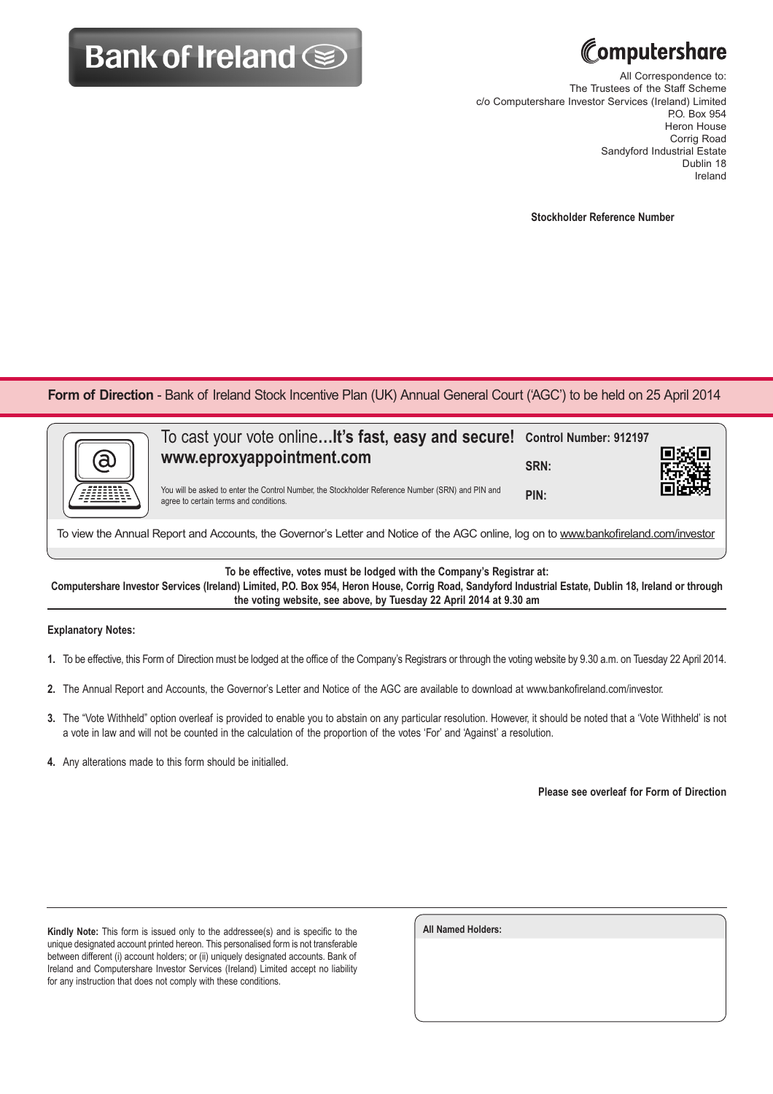## **Bank of Ireland Some**



All Correspondence to: The Trustees of the Staff Scheme c/o Computershare Investor Services (Ireland) Limited P.O. Box 954 Heron House Corrig Road Sandyford Industrial Estate Dublin 18 Ireland

**Stockholder Reference Number**

Form of Direction - Bank of Ireland Stock Incentive Plan (UK) Annual General Court ('AGC') to be held on 25 April 2014

| a | To cast your vote online It's fast, easy and secure! Control Number: 912197<br>www.eproxyappointment.com<br>You will be asked to enter the Control Number, the Stockholder Reference Number (SRN) and PIN and | SRN:<br>PIN: |  |
|---|---------------------------------------------------------------------------------------------------------------------------------------------------------------------------------------------------------------|--------------|--|
|   | agree to certain terms and conditions.                                                                                                                                                                        |              |  |
|   |                                                                                                                                                                                                               |              |  |

To view the Annual Report and Accounts, the Governor's Letter and Notice of the AGC online, log on to www.bankofireland.com/investor

**To be effective, votes must be lodged with the Company's Registrar at:**

**Computershare Investor Services (Ireland) Limited, P.O. Box 954, Heron House, Corrig Road, Sandyford Industrial Estate, Dublin 18, Ireland or through the voting website, see above, by Tuesday 22 April 2014 at 9.30 am**

## **Explanatory Notes:**

- **1.** To be effective, this Form of Direction must be lodged at the office of the Company's Registrars or through the voting website by 9.30 a.m. on Tuesday 22 April 2014.
- **2.** The Annual Report and Accounts, the Governor's Letter and Notice of the AGC are available to download at www.bankofireland.com/investor.
- **3.** The "Vote Withheld" option overleaf is provided to enable you to abstain on any particular resolution. However, it should be noted that a 'Vote Withheld' is not a vote in law and will not be counted in the calculation of the proportion of the votes 'For' and 'Against' a resolution.
- **4.** Any alterations made to this form should be initialled.

**Please see overleaf for Form of Direction**

**Kindly Note:** This form is issued only to the addressee(s) and is specific to the unique designated account printed hereon. This personalised form is not transferable between different (i) account holders; or (ii) uniquely designated accounts. Bank of Ireland and Computershare Investor Services (Ireland) Limited accept no liability for any instruction that does not comply with these conditions.

| <b>All Named Holders:</b> |  |  |
|---------------------------|--|--|
|                           |  |  |
|                           |  |  |
|                           |  |  |